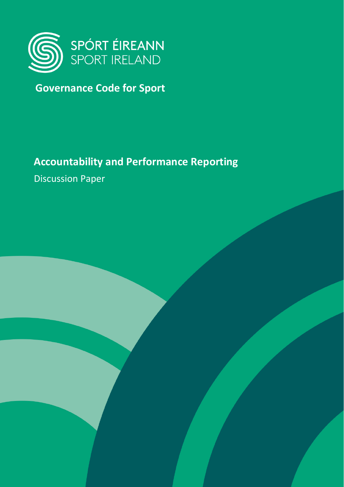

# **Governance Code for Sport**

# **Accountability and Performance Reporting**

Discussion Paper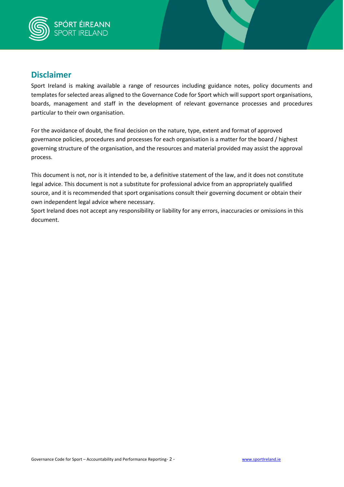

#### **Disclaimer**

Sport Ireland is making available a range of resources including guidance notes, policy documents and templates for selected areas aligned to the Governance Code for Sport which will support sport organisations, boards, management and staff in the development of relevant governance processes and procedures particular to their own organisation.

For the avoidance of doubt, the final decision on the nature, type, extent and format of approved governance policies, procedures and processes for each organisation is a matter for the board / highest governing structure of the organisation, and the resources and material provided may assist the approval process.

This document is not, nor is it intended to be, a definitive statement of the law, and it does not constitute legal advice. This document is not a substitute for professional advice from an appropriately qualified source, and it is recommended that sport organisations consult their governing document or obtain their own independent legal advice where necessary.

Sport Ireland does not accept any responsibility or liability for any errors, inaccuracies or omissions in this document.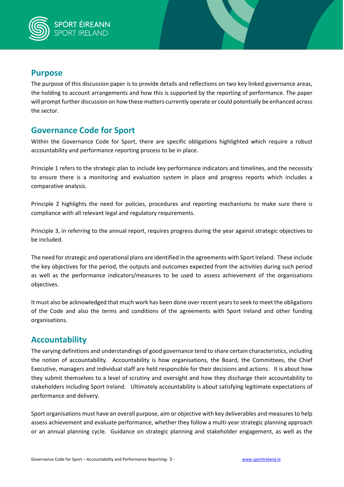

### **Purpose**

The purpose of this discussion paper is to provide details and reflections on two key linked governance areas, the holding to account arrangements and how this is supported by the reporting of performance. The paper will prompt further discussion on how these matters currently operate or could potentially be enhanced across the sector.

## **Governance Code for Sport**

Within the Governance Code for Sport, there are specific obligations highlighted which require a robust accountability and performance reporting process to be in place.

Principle 1 refers to the strategic plan to include key performance indicators and timelines, and the necessity to ensure there is a monitoring and evaluation system in place and progress reports which includes a comparative analysis.

Principle 2 highlights the need for policies, procedures and reporting mechanisms to make sure there is compliance with all relevant legal and regulatory requirements.

Principle 3, in referring to the annual report, requires progress during the year against strategic objectives to be included.

The need for strategic and operational plans are identified in the agreements with Sport Ireland. These include the key objectives for the period, the outputs and outcomes expected from the activities during such period as well as the performance indicators/measures to be used to assess achievement of the organisations objectives.

It must also be acknowledged that much work has been done over recent years to seek to meet the obligations of the Code and also the terms and conditions of the agreements with Sport Ireland and other funding organisations.

#### **Accountability**

The varying definitions and understandings of good governance tend to share certain characteristics, including the notion of accountability. Accountability is how organisations, the Board, the Committees, the Chief Executive, managers and individual staff are held responsible for their decisions and actions. It is about how they submit themselves to a level of scrutiny and oversight and how they discharge their accountability to stakeholders including Sport Ireland. Ultimately accountability is about satisfying legitimate expectations of performance and delivery.

Sport organisations must have an overall purpose, aim or objective with key deliverables and measures to help assess achievement and evaluate performance, whether they follow a multi-year strategic planning approach or an annual planning cycle. Guidance on strategic planning and stakeholder engagement, as well as the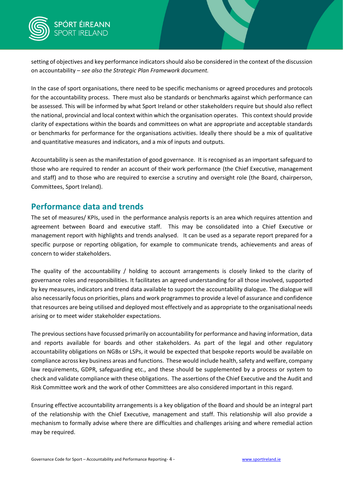

setting of objectives and key performance indicators should also be considered in the context of the discussion on accountability – *see also the Strategic Plan Framework document.*

In the case of sport organisations, there need to be specific mechanisms or agreed procedures and protocols for the accountability process. There must also be standards or benchmarks against which performance can be assessed. This will be informed by what Sport Ireland or other stakeholders require but should also reflect the national, provincial and local context within which the organisation operates. This context should provide clarity of expectations within the boards and committees on what are appropriate and acceptable standards or benchmarks for performance for the organisations activities. Ideally there should be a mix of qualitative and quantitative measures and indicators, and a mix of inputs and outputs.

Accountability is seen as the manifestation of good governance. It is recognised as an important safeguard to those who are required to render an account of their work performance (the Chief Executive, management and staff) and to those who are required to exercise a scrutiny and oversight role (the Board, chairperson, Committees, Sport Ireland).

#### **Performance data and trends**

The set of measures/ KPIs, used in the performance analysis reports is an area which requires attention and agreement between Board and executive staff. This may be consolidated into a Chief Executive or management report with highlights and trends analysed. It can be used as a separate report prepared for a specific purpose or reporting obligation, for example to communicate trends, achievements and areas of concern to wider stakeholders.

The quality of the accountability / holding to account arrangements is closely linked to the clarity of governance roles and responsibilities. It facilitates an agreed understanding for all those involved, supported by key measures, indicators and trend data available to support the accountability dialogue. The dialogue will also necessarily focus on priorities, plans and work programmesto provide a level of assurance and confidence that resources are being utilised and deployed most effectively and as appropriate to the organisational needs arising or to meet wider stakeholder expectations.

The previous sections have focussed primarily on accountability for performance and having information, data and reports available for boards and other stakeholders. As part of the legal and other regulatory accountability obligations on NGBs or LSPs, it would be expected that bespoke reports would be available on compliance across key business areas and functions. These would include health, safety and welfare, company law requirements, GDPR, safeguarding etc., and these should be supplemented by a process or system to check and validate compliance with these obligations. The assertions of the Chief Executive and the Audit and Risk Committee work and the work of other Committees are also considered important in this regard.

Ensuring effective accountability arrangements is a key obligation of the Board and should be an integral part of the relationship with the Chief Executive, management and staff. This relationship will also provide a mechanism to formally advise where there are difficulties and challenges arising and where remedial action may be required.